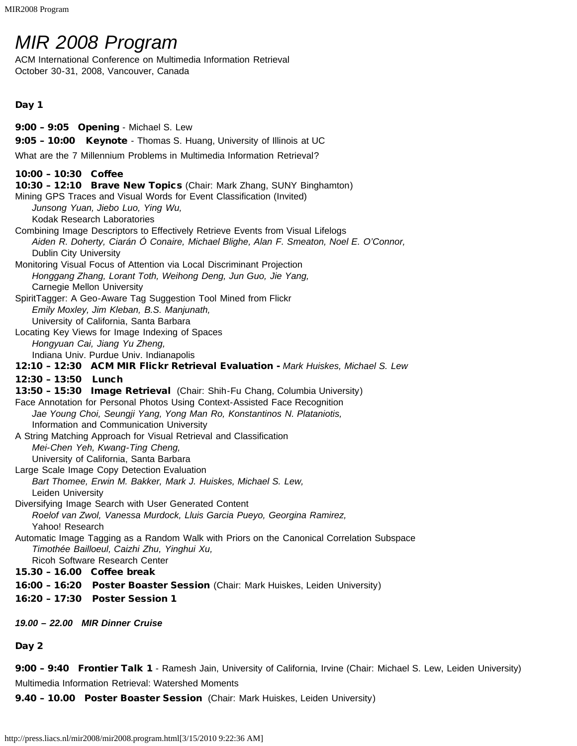# *MIR 2008 Program*

ACM International Conference on Multimedia Information Retrieval October 30-31, 2008, Vancouver, Canada

# Day 1

9:00 – 9:05 Opening - Michael S. Lew 9:05 - 10:00 Keynote - Thomas S. Huang, University of Illinois at UC What are the 7 Millennium Problems in Multimedia Information Retrieval? 10:00 – 10:30 Coffee 10:30 – 12:10 Brave New Topics (Chair: Mark Zhang, SUNY Binghamton) Mining GPS Traces and Visual Words for Event Classification (Invited) *Junsong Yuan, Jiebo Luo, Ying Wu,* Kodak Research Laboratories Combining Image Descriptors to Effectively Retrieve Events from Visual Lifelogs *Aiden R. Doherty, Ciarán Ó Conaire, Michael Blighe, Alan F. Smeaton, Noel E. O'Connor,* Dublin City University Monitoring Visual Focus of Attention via Local Discriminant Projection *Honggang Zhang, Lorant Toth, Weihong Deng, Jun Guo, Jie Yang,* Carnegie Mellon University SpiritTagger: A Geo-Aware Tag Suggestion Tool Mined from Flickr *Emily Moxley, Jim Kleban, B.S. Manjunath,* University of California, Santa Barbara Locating Key Views for Image Indexing of Spaces *Hongyuan Cai, Jiang Yu Zheng,* Indiana Univ. Purdue Univ. Indianapolis 12:10 – 12:30 ACM MIR Flickr Retrieval Evaluation - *Mark Huiskes, Michael S. Lew* 12:30 – 13:50 Lunch 13:50 - 15:30 Image Retrieval (Chair: Shih-Fu Chang, Columbia University) Face Annotation for Personal Photos Using Context-Assisted Face Recognition *Jae Young Choi, Seungji Yang, Yong Man Ro, Konstantinos N. Plataniotis,* Information and Communication University A String Matching Approach for Visual Retrieval and Classification *Mei-Chen Yeh, Kwang-Ting Cheng,* University of California, Santa Barbara Large Scale Image Copy Detection Evaluation *Bart Thomee, Erwin M. Bakker, Mark J. Huiskes, Michael S. Lew,* Leiden University Diversifying Image Search with User Generated Content *Roelof van Zwol, Vanessa Murdock, Lluis Garcia Pueyo, Georgina Ramirez,* Yahoo! Research Automatic Image Tagging as a Random Walk with Priors on the Canonical Correlation Subspace *Timothée Bailloeul, Caizhi Zhu, Yinghui Xu,* Ricoh Software Research Center 15.30 – 16.00 Coffee break 16:00 - 16:20 Poster Boaster Session (Chair: Mark Huiskes, Leiden University) 16:20 – 17:30 Poster Session 1 *19.00 – 22.00 MIR Dinner Cruise*

Day 2

9:00 - 9:40 Frontier Talk 1 - Ramesh Jain, University of California, Irvine (Chair: Michael S. Lew, Leiden University) Multimedia Information Retrieval: Watershed Moments

9.40 - 10.00 Poster Boaster Session (Chair: Mark Huiskes, Leiden University)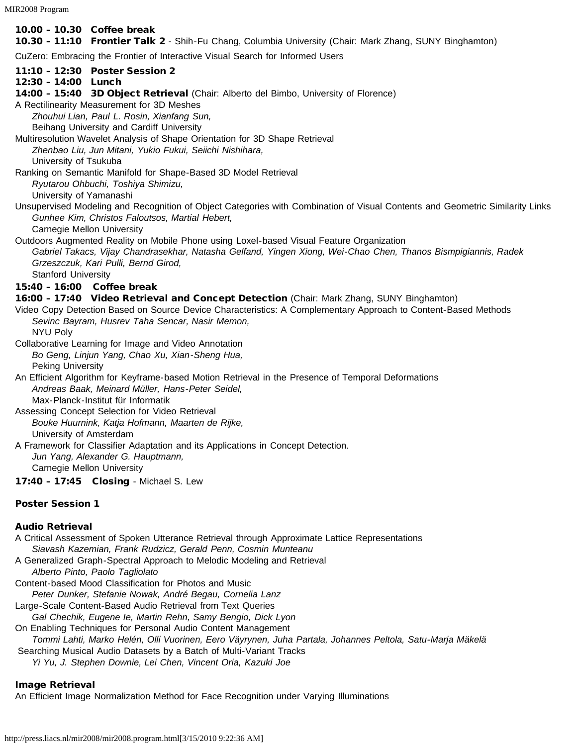MIR2008 Program

# 10.00 – 10.30 Coffee break

10.30 - 11:10 Frontier Talk 2 - Shih-Fu Chang, Columbia University (Chair: Mark Zhang, SUNY Binghamton)

CuZero: Embracing the Frontier of Interactive Visual Search for Informed Users

- 11:10 12:30 Poster Session 2
- 12:30 14:00 Lunch
- 14:00 15:40 3D Object Retrieval (Chair: Alberto del Bimbo, University of Florence)
- A Rectilinearity Measurement for 3D Meshes

*Zhouhui Lian, Paul L. Rosin, Xianfang Sun,*

Beihang University and Cardiff University

Multiresolution Wavelet Analysis of Shape Orientation for 3D Shape Retrieval *Zhenbao Liu, Jun Mitani, Yukio Fukui, Seiichi Nishihara,*

University of Tsukuba

Ranking on Semantic Manifold for Shape-Based 3D Model Retrieval *Ryutarou Ohbuchi, Toshiya Shimizu,*

University of Yamanashi

Unsupervised Modeling and Recognition of Object Categories with Combination of Visual Contents and Geometric Similarity Links *Gunhee Kim, Christos Faloutsos, Martial Hebert,*

Carnegie Mellon University

Outdoors Augmented Reality on Mobile Phone using Loxel-based Visual Feature Organization

*Gabriel Takacs, Vijay Chandrasekhar, Natasha Gelfand, Yingen Xiong, Wei-Chao Chen, Thanos Bismpigiannis, Radek Grzeszczuk, Kari Pulli, Bernd Girod,*

Stanford University

# 15:40 – 16:00 Coffee break

16:00 – 17:40 Video Retrieval and Concept Detection (Chair: Mark Zhang, SUNY Binghamton)

Video Copy Detection Based on Source Device Characteristics: A Complementary Approach to Content-Based Methods *Sevinc Bayram, Husrev Taha Sencar, Nasir Memon,* NYU Poly

Collaborative Learning for Image and Video Annotation *Bo Geng, Linjun Yang, Chao Xu, Xian-Sheng Hua,* Peking University

An Efficient Algorithm for Keyframe-based Motion Retrieval in the Presence of Temporal Deformations *Andreas Baak, Meinard Müller, Hans-Peter Seidel,* Max-Planck-Institut für Informatik

Assessing Concept Selection for Video Retrieval *Bouke Huurnink, Katja Hofmann, Maarten de Rijke,* University of Amsterdam

A Framework for Classifier Adaptation and its Applications in Concept Detection. *Jun Yang, Alexander G. Hauptmann,* Carnegie Mellon University

17:40 – 17:45 Closing - Michael S. Lew

## Poster Session 1

## Audio Retrieval

A Critical Assessment of Spoken Utterance Retrieval through Approximate Lattice Representations *Siavash Kazemian, Frank Rudzicz, Gerald Penn, Cosmin Munteanu* A Generalized Graph-Spectral Approach to Melodic Modeling and Retrieval *Alberto Pinto, Paolo Tagliolato* Content-based Mood Classification for Photos and Music *Peter Dunker, Stefanie Nowak, André Begau, Cornelia Lanz* Large-Scale Content-Based Audio Retrieval from Text Queries *Gal Chechik, Eugene Ie, Martin Rehn, Samy Bengio, Dick Lyon* On Enabling Techniques for Personal Audio Content Management *Tommi Lahti, Marko Helén, Olli Vuorinen, Eero Väyrynen, Juha Partala, Johannes Peltola, Satu-Marja Mäkelä* Searching Musical Audio Datasets by a Batch of Multi-Variant Tracks *Yi Yu, J. Stephen Downie, Lei Chen, Vincent Oria, Kazuki Joe*

## Image Retrieval

An Efficient Image Normalization Method for Face Recognition under Varying Illuminations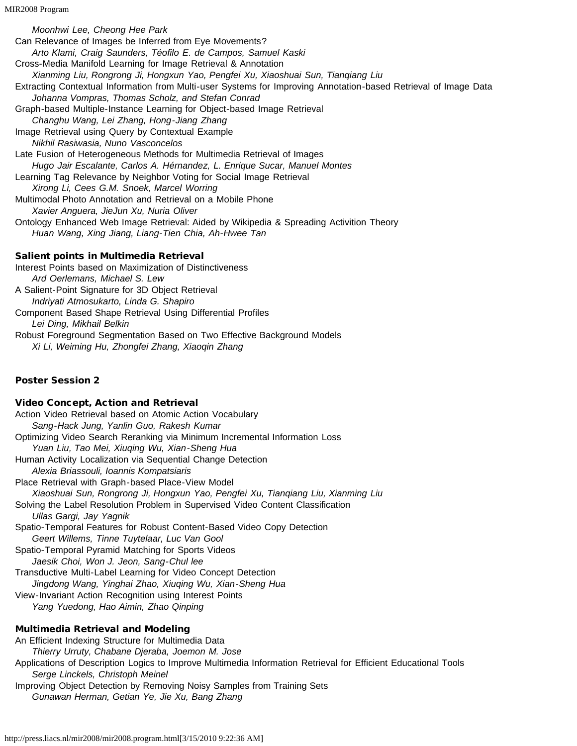*Moonhwi Lee, Cheong Hee Park* Can Relevance of Images be Inferred from Eye Movements? *Arto Klami, Craig Saunders, Téofilo E. de Campos, Samuel Kaski* Cross-Media Manifold Learning for Image Retrieval & Annotation *Xianming Liu, Rongrong Ji, Hongxun Yao, Pengfei Xu, Xiaoshuai Sun, Tianqiang Liu* Extracting Contextual Information from Multi-user Systems for Improving Annotation-based Retrieval of Image Data *Johanna Vompras, Thomas Scholz, and Stefan Conrad* Graph-based Multiple-Instance Learning for Object-based Image Retrieval *Changhu Wang, Lei Zhang, Hong-Jiang Zhang* Image Retrieval using Query by Contextual Example *Nikhil Rasiwasia, Nuno Vasconcelos* Late Fusion of Heterogeneous Methods for Multimedia Retrieval of Images *Hugo Jair Escalante, Carlos A. Hérnandez, L. Enrique Sucar, Manuel Montes* Learning Tag Relevance by Neighbor Voting for Social Image Retrieval *Xirong Li, Cees G.M. Snoek, Marcel Worring* Multimodal Photo Annotation and Retrieval on a Mobile Phone *Xavier Anguera, JieJun Xu, Nuria Oliver* Ontology Enhanced Web Image Retrieval: Aided by Wikipedia & Spreading Activition Theory *Huan Wang, Xing Jiang, Liang-Tien Chia, Ah-Hwee Tan* Salient points in Multimedia Retrieval Interest Points based on Maximization of Distinctiveness *Ard Oerlemans, Michael S. Lew* A Salient-Point Signature for 3D Object Retrieval *Indriyati Atmosukarto, Linda G. Shapiro*

Component Based Shape Retrieval Using Differential Profiles *Lei Ding, Mikhail Belkin* Robust Foreground Segmentation Based on Two Effective Background Models *Xi Li, Weiming Hu, Zhongfei Zhang, Xiaoqin Zhang*

# Poster Session 2

# Video Concept, Action and Retrieval

Action Video Retrieval based on Atomic Action Vocabulary *Sang-Hack Jung, Yanlin Guo, Rakesh Kumar* Optimizing Video Search Reranking via Minimum Incremental Information Loss *Yuan Liu, Tao Mei, Xiuqing Wu, Xian-Sheng Hua* Human Activity Localization via Sequential Change Detection *Alexia Briassouli, Ioannis Kompatsiaris* Place Retrieval with Graph-based Place-View Model *Xiaoshuai Sun, Rongrong Ji, Hongxun Yao, Pengfei Xu, Tianqiang Liu, Xianming Liu* Solving the Label Resolution Problem in Supervised Video Content Classification *Ullas Gargi, Jay Yagnik* Spatio-Temporal Features for Robust Content-Based Video Copy Detection *Geert Willems, Tinne Tuytelaar, Luc Van Gool* Spatio-Temporal Pyramid Matching for Sports Videos *Jaesik Choi, Won J. Jeon, Sang-Chul lee* Transductive Multi-Label Learning for Video Concept Detection *Jingdong Wang, Yinghai Zhao, Xiuqing Wu, Xian-Sheng Hua* View-Invariant Action Recognition using Interest Points *Yang Yuedong, Hao Aimin, Zhao Qinping* Multimedia Retrieval and Modeling

# An Efficient Indexing Structure for Multimedia Data *Thierry Urruty, Chabane Djeraba, Joemon M. Jose* Applications of Description Logics to Improve Multimedia Information Retrieval for Efficient Educational Tools *Serge Linckels, Christoph Meinel* Improving Object Detection by Removing Noisy Samples from Training Sets *Gunawan Herman, Getian Ye, Jie Xu, Bang Zhang*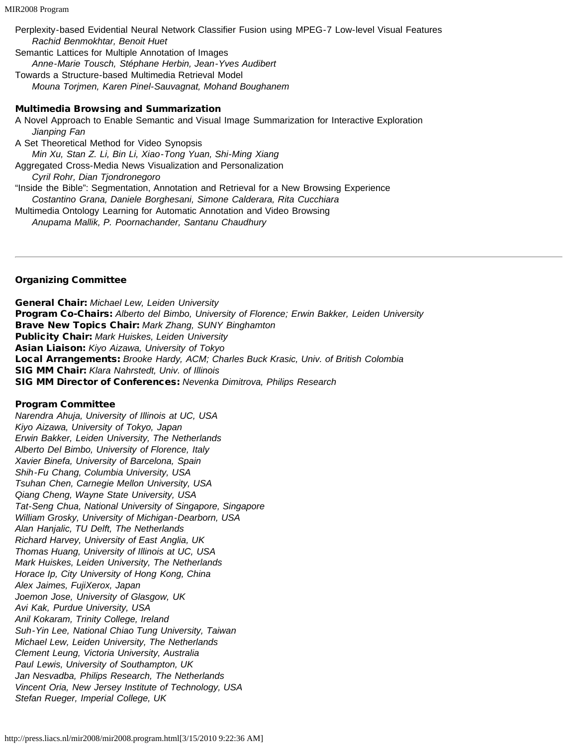Perplexity-based Evidential Neural Network Classifier Fusion using MPEG-7 Low-level Visual Features *Rachid Benmokhtar, Benoit Huet* Semantic Lattices for Multiple Annotation of Images *Anne-Marie Tousch, Stéphane Herbin, Jean-Yves Audibert*

Towards a Structure-based Multimedia Retrieval Model *Mouna Torjmen, Karen Pinel-Sauvagnat, Mohand Boughanem*

#### Multimedia Browsing and Summarization

A Novel Approach to Enable Semantic and Visual Image Summarization for Interactive Exploration *Jianping Fan* A Set Theoretical Method for Video Synopsis *Min Xu, Stan Z. Li, Bin Li, Xiao-Tong Yuan, Shi-Ming Xiang* Aggregated Cross-Media News Visualization and Personalization *Cyril Rohr, Dian Tjondronegoro* "Inside the Bible": Segmentation, Annotation and Retrieval for a New Browsing Experience *Costantino Grana, Daniele Borghesani, Simone Calderara, Rita Cucchiara* Multimedia Ontology Learning for Automatic Annotation and Video Browsing *Anupama Mallik, P. Poornachander, Santanu Chaudhury*

#### Organizing Committee

General Chair: *Michael Lew, Leiden University* Program Co-Chairs: *Alberto del Bimbo, University of Florence; Erwin Bakker, Leiden University* Brave New Topics Chair: *Mark Zhang, SUNY Binghamton* Publicity Chair: *Mark Huiskes, Leiden University* Asian Liaison: *Kiyo Aizawa, University of Tokyo* Local Arrangements: *Brooke Hardy, ACM; Charles Buck Krasic, Univ. of British Colombia* SIG MM Chair: *Klara Nahrstedt, Univ. of Illinois* SIG MM Director of Conferences: *Nevenka Dimitrova, Philips Research*

#### Program Committee

*Narendra Ahuja, University of Illinois at UC, USA Kiyo Aizawa, University of Tokyo, Japan Erwin Bakker, Leiden University, The Netherlands Alberto Del Bimbo, University of Florence, Italy Xavier Binefa, University of Barcelona, Spain Shih-Fu Chang, Columbia University, USA Tsuhan Chen, Carnegie Mellon University, USA Qiang Cheng, Wayne State University, USA Tat-Seng Chua, National University of Singapore, Singapore William Grosky, University of Michigan-Dearborn, USA Alan Hanjalic, TU Delft, The Netherlands Richard Harvey, University of East Anglia, UK Thomas Huang, University of Illinois at UC, USA Mark Huiskes, Leiden University, The Netherlands Horace Ip, City University of Hong Kong, China Alex Jaimes, FujiXerox, Japan Joemon Jose, University of Glasgow, UK Avi Kak, Purdue University, USA Anil Kokaram, Trinity College, Ireland Suh-Yin Lee, National Chiao Tung University, Taiwan Michael Lew, Leiden University, The Netherlands Clement Leung, Victoria University, Australia Paul Lewis, University of Southampton, UK Jan Nesvadba, Philips Research, The Netherlands Vincent Oria, New Jersey Institute of Technology, USA Stefan Rueger, Imperial College, UK*